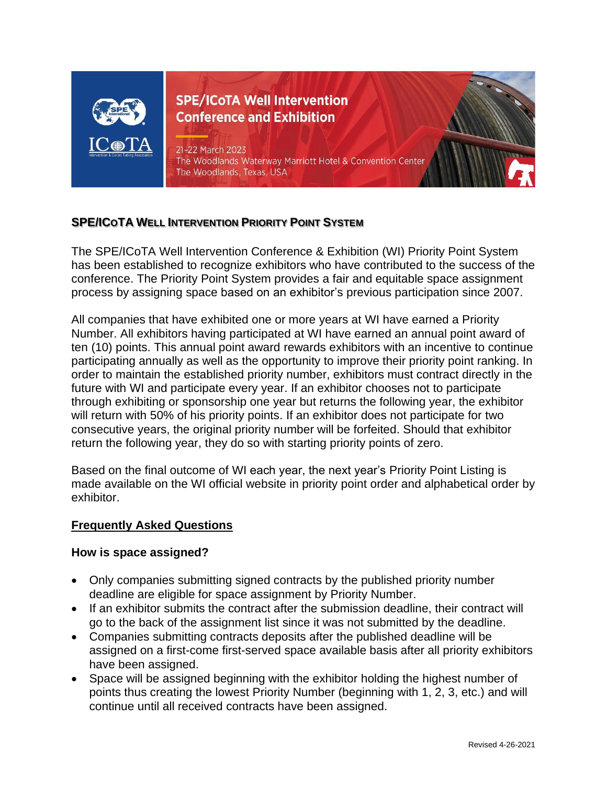

**SPE/ICoTA Well Intervention Conference and Exhibition** 

21-22 March 2023 The Woodlands Waterway Marriott Hotel & Convention Center The Woodlands, Texas, USA

# **SPE/ICOTA WELL INTERVENTION PRIORITY POINT SYSTEM**

The SPE/ICoTA Well Intervention Conference & Exhibition (WI) Priority Point System has been established to recognize exhibitors who have contributed to the success of the conference. The Priority Point System provides a fair and equitable space assignment process by assigning space based on an exhibitor's previous participation since 2007.

All companies that have exhibited one or more years at WI have earned a Priority Number. All exhibitors having participated at WI have earned an annual point award of ten (10) points. This annual point award rewards exhibitors with an incentive to continue participating annually as well as the opportunity to improve their priority point ranking. In order to maintain the established priority number, exhibitors must contract directly in the future with WI and participate every year. If an exhibitor chooses not to participate through exhibiting or sponsorship one year but returns the following year, the exhibitor will return with 50% of his priority points. If an exhibitor does not participate for two consecutive years, the original priority number will be forfeited. Should that exhibitor return the following year, they do so with starting priority points of zero.

Based on the final outcome of WI each year, the next year's Priority Point Listing is made available on the WI official website in priority point order and alphabetical order by exhibitor.

## **Frequently Asked Questions**

#### **How is space assigned?**

- Only companies submitting signed contracts by the published priority number deadline are eligible for space assignment by Priority Number.
- If an exhibitor submits the contract after the submission deadline, their contract will go to the back of the assignment list since it was not submitted by the deadline.
- Companies submitting contracts deposits after the published deadline will be assigned on a first-come first-served space available basis after all priority exhibitors have been assigned.
- Space will be assigned beginning with the exhibitor holding the highest number of points thus creating the lowest Priority Number (beginning with 1, 2, 3, etc.) and will continue until all received contracts have been assigned.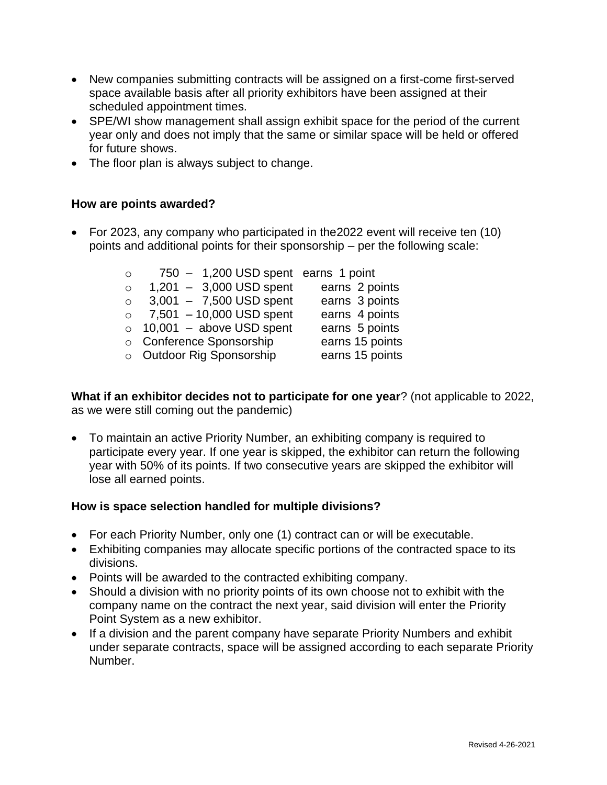- New companies submitting contracts will be assigned on a first-come first-served space available basis after all priority exhibitors have been assigned at their scheduled appointment times.
- SPE/WI show management shall assign exhibit space for the period of the current year only and does not imply that the same or similar space will be held or offered for future shows.
- The floor plan is always subject to change.

## **How are points awarded?**

• For 2023, any company who participated in the2022 event will receive ten (10) points and additional points for their sponsorship – per the following scale:

| $\circ$  | 750 - 1,200 USD spent earns 1 point |                 |
|----------|-------------------------------------|-----------------|
| $\circ$  | $1,201 - 3,000$ USD spent           | earns 2 points  |
| $\Omega$ | $3,001 - 7,500$ USD spent           | earns 3 points  |
| $\Omega$ | 7,501 - 10,000 USD spent            | earns 4 points  |
|          | $\circ$ 10,001 - above USD spent    | earns 5 points  |
|          | o Conference Sponsorship            | earns 15 points |
|          | o Outdoor Rig Sponsorship           | earns 15 points |
|          |                                     |                 |

**What if an exhibitor decides not to participate for one year**? (not applicable to 2022, as we were still coming out the pandemic)

• To maintain an active Priority Number, an exhibiting company is required to participate every year. If one year is skipped, the exhibitor can return the following year with 50% of its points. If two consecutive years are skipped the exhibitor will lose all earned points.

## **How is space selection handled for multiple divisions?**

- For each Priority Number, only one (1) contract can or will be executable.
- Exhibiting companies may allocate specific portions of the contracted space to its divisions.
- Points will be awarded to the contracted exhibiting company.
- Should a division with no priority points of its own choose not to exhibit with the company name on the contract the next year, said division will enter the Priority Point System as a new exhibitor.
- If a division and the parent company have separate Priority Numbers and exhibit under separate contracts, space will be assigned according to each separate Priority Number.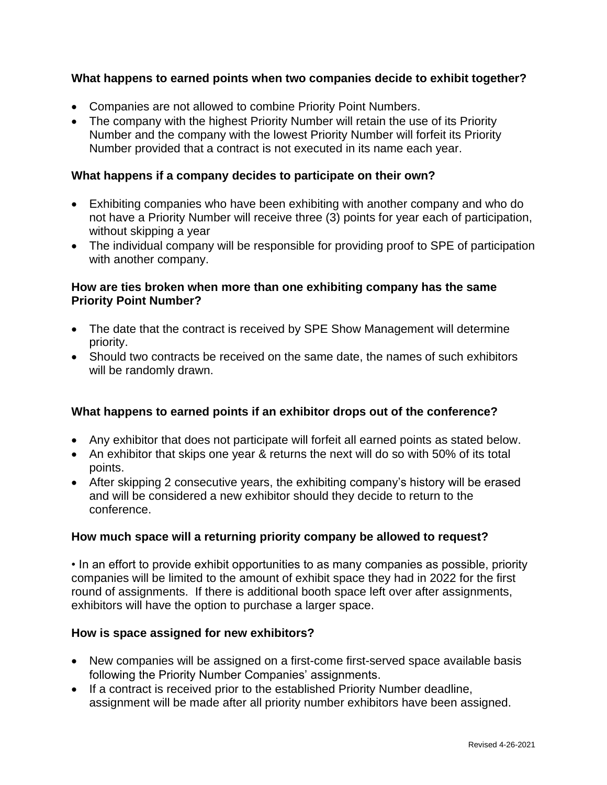## **What happens to earned points when two companies decide to exhibit together?**

- Companies are not allowed to combine Priority Point Numbers.
- The company with the highest Priority Number will retain the use of its Priority Number and the company with the lowest Priority Number will forfeit its Priority Number provided that a contract is not executed in its name each year.

## **What happens if a company decides to participate on their own?**

- Exhibiting companies who have been exhibiting with another company and who do not have a Priority Number will receive three (3) points for year each of participation, without skipping a year
- The individual company will be responsible for providing proof to SPE of participation with another company.

### **How are ties broken when more than one exhibiting company has the same Priority Point Number?**

- The date that the contract is received by SPE Show Management will determine priority.
- Should two contracts be received on the same date, the names of such exhibitors will be randomly drawn.

## **What happens to earned points if an exhibitor drops out of the conference?**

- Any exhibitor that does not participate will forfeit all earned points as stated below.
- An exhibitor that skips one year & returns the next will do so with 50% of its total points.
- After skipping 2 consecutive years, the exhibiting company's history will be erased and will be considered a new exhibitor should they decide to return to the conference.

## **How much space will a returning priority company be allowed to request?**

• In an effort to provide exhibit opportunities to as many companies as possible, priority companies will be limited to the amount of exhibit space they had in 2022 for the first round of assignments. If there is additional booth space left over after assignments, exhibitors will have the option to purchase a larger space.

## **How is space assigned for new exhibitors?**

- New companies will be assigned on a first-come first-served space available basis following the Priority Number Companies' assignments.
- If a contract is received prior to the established Priority Number deadline, assignment will be made after all priority number exhibitors have been assigned.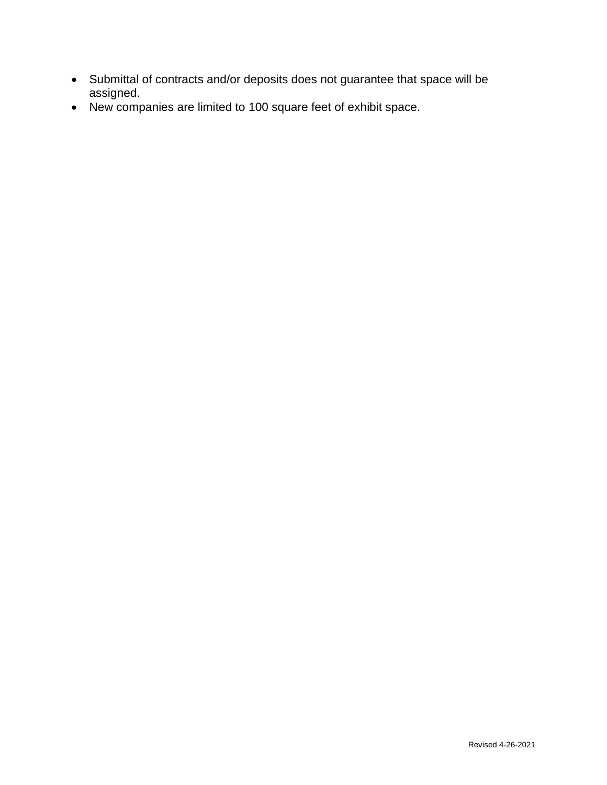- Submittal of contracts and/or deposits does not guarantee that space will be assigned.
- New companies are limited to 100 square feet of exhibit space.